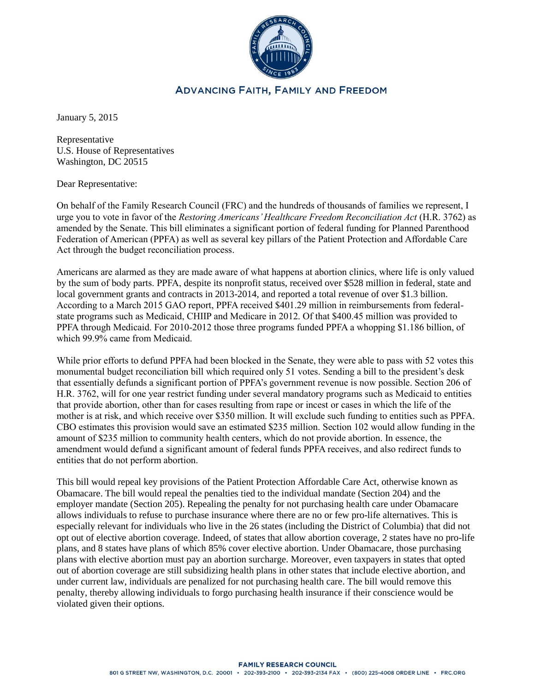

## **ADVANCING FAITH, FAMILY AND FREEDOM**

January 5, 2015

Representative U.S. House of Representatives Washington, DC 20515

Dear Representative:

On behalf of the Family Research Council (FRC) and the hundreds of thousands of families we represent, I urge you to vote in favor of the *Restoring Americans' Healthcare Freedom Reconciliation Act* (H.R. 3762) as amended by the Senate. This bill eliminates a significant portion of federal funding for Planned Parenthood Federation of American (PPFA) as well as several key pillars of the Patient Protection and Affordable Care Act through the budget reconciliation process.

Americans are alarmed as they are made aware of what happens at abortion clinics, where life is only valued by the sum of body parts. PPFA, despite its nonprofit status, received over \$528 million in federal, state and local government grants and contracts in 2013-2014, and reported a total revenue of over \$1.3 billion. According to a March 2015 GAO report, PPFA received \$401.29 million in reimbursements from federalstate programs such as Medicaid, CHIIP and Medicare in 2012. Of that \$400.45 million was provided to PPFA through Medicaid. For 2010-2012 those three programs funded PPFA a whopping \$1.186 billion, of which 99.9% came from Medicaid.

While prior efforts to defund PPFA had been blocked in the Senate, they were able to pass with 52 votes this monumental budget reconciliation bill which required only 51 votes. Sending a bill to the president's desk that essentially defunds a significant portion of PPFA's government revenue is now possible. Section 206 of H.R. 3762, will for one year restrict funding under several mandatory programs such as Medicaid to entities that provide abortion, other than for cases resulting from rape or incest or cases in which the life of the mother is at risk, and which receive over \$350 million. It will exclude such funding to entities such as PPFA. CBO estimates this provision would save an estimated \$235 million. Section 102 would allow funding in the amount of \$235 million to community health centers, which do not provide abortion. In essence, the amendment would defund a significant amount of federal funds PPFA receives, and also redirect funds to entities that do not perform abortion.

This bill would repeal key provisions of the Patient Protection Affordable Care Act, otherwise known as Obamacare. The bill would repeal the penalties tied to the individual mandate (Section 204) and the employer mandate (Section 205). Repealing the penalty for not purchasing health care under Obamacare allows individuals to refuse to purchase insurance where there are no or few pro-life alternatives. This is especially relevant for individuals who live in the 26 states (including the District of Columbia) that did not opt out of elective abortion coverage. Indeed, of states that allow abortion coverage, 2 states have no pro-life plans, and 8 states have plans of which 85% cover elective abortion. Under Obamacare, those purchasing plans with elective abortion must pay an abortion surcharge. Moreover, even taxpayers in states that opted out of abortion coverage are still subsidizing health plans in other states that include elective abortion, and under current law, individuals are penalized for not purchasing health care. The bill would remove this penalty, thereby allowing individuals to forgo purchasing health insurance if their conscience would be violated given their options.